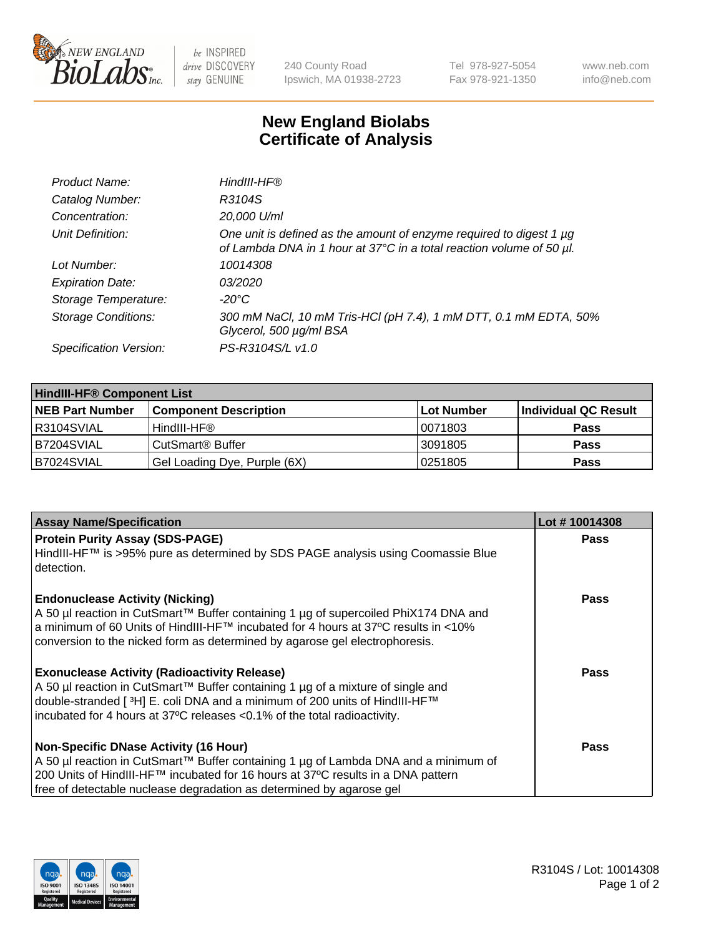

 $be$  INSPIRED drive DISCOVERY stay GENUINE

240 County Road Ipswich, MA 01938-2723 Tel 978-927-5054 Fax 978-921-1350 www.neb.com info@neb.com

## **New England Biolabs Certificate of Analysis**

| Product Name:              | HindIII-HF®                                                                                                                                      |
|----------------------------|--------------------------------------------------------------------------------------------------------------------------------------------------|
| Catalog Number:            | R3104S                                                                                                                                           |
| Concentration:             | 20,000 U/ml                                                                                                                                      |
| Unit Definition:           | One unit is defined as the amount of enzyme required to digest 1 $\mu$ g<br>of Lambda DNA in 1 hour at 37°C in a total reaction volume of 50 µl. |
| Lot Number:                | 10014308                                                                                                                                         |
| <b>Expiration Date:</b>    | 03/2020                                                                                                                                          |
| Storage Temperature:       | -20°C                                                                                                                                            |
| <b>Storage Conditions:</b> | 300 mM NaCl, 10 mM Tris-HCl (pH 7.4), 1 mM DTT, 0.1 mM EDTA, 50%<br>Glycerol, 500 µg/ml BSA                                                      |
| Specification Version:     | PS-R3104S/L v1.0                                                                                                                                 |

| <b>HindIII-HF® Component List</b> |                              |             |                      |  |  |
|-----------------------------------|------------------------------|-------------|----------------------|--|--|
| <b>NEB Part Number</b>            | <b>Component Description</b> | ∣Lot Number | Individual QC Result |  |  |
| R3104SVIAL                        | HindIII-HF®                  | 10071803    | <b>Pass</b>          |  |  |
| B7204SVIAL                        | CutSmart® Buffer             | 3091805     | <b>Pass</b>          |  |  |
| B7024SVIAL                        | Gel Loading Dye, Purple (6X) | 10251805    | <b>Pass</b>          |  |  |

| <b>Assay Name/Specification</b>                                                                                                                                   | Lot #10014308 |
|-------------------------------------------------------------------------------------------------------------------------------------------------------------------|---------------|
| <b>Protein Purity Assay (SDS-PAGE)</b>                                                                                                                            | <b>Pass</b>   |
| HindIII-HF™ is >95% pure as determined by SDS PAGE analysis using Coomassie Blue<br>l detection.                                                                  |               |
| <b>Endonuclease Activity (Nicking)</b>                                                                                                                            | <b>Pass</b>   |
| A 50 µl reaction in CutSmart™ Buffer containing 1 µg of supercoiled PhiX174 DNA and                                                                               |               |
| a minimum of 60 Units of HindIII-HF™ incubated for 4 hours at 37°C results in <10%<br>conversion to the nicked form as determined by agarose gel electrophoresis. |               |
|                                                                                                                                                                   |               |
| <b>Exonuclease Activity (Radioactivity Release)</b>                                                                                                               | Pass          |
| A 50 µl reaction in CutSmart™ Buffer containing 1 µg of a mixture of single and<br>double-stranded [3H] E. coli DNA and a minimum of 200 units of HindIII-HF™     |               |
| incubated for 4 hours at 37°C releases <0.1% of the total radioactivity.                                                                                          |               |
|                                                                                                                                                                   |               |
| <b>Non-Specific DNase Activity (16 Hour)</b>                                                                                                                      | <b>Pass</b>   |
| A 50 µl reaction in CutSmart™ Buffer containing 1 µg of Lambda DNA and a minimum of                                                                               |               |
| 200 Units of HindIII-HF™ incubated for 16 hours at 37°C results in a DNA pattern                                                                                  |               |
| free of detectable nuclease degradation as determined by agarose gel                                                                                              |               |